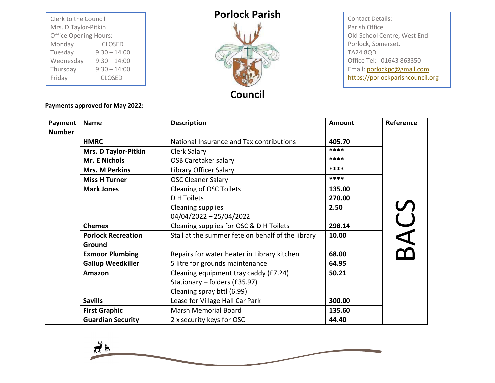| Clerk to the Council<br>Mrs. D Taylor-Pitkin<br><b>Office Opening Hours:</b> |                |  |  |
|------------------------------------------------------------------------------|----------------|--|--|
| Monday                                                                       | <b>CLOSED</b>  |  |  |
| Tuesday                                                                      | $9:30 - 14:00$ |  |  |
| Wednesday                                                                    | $9:30 - 14:00$ |  |  |
| Thursday                                                                     | $9:30 - 14:00$ |  |  |
| Friday                                                                       | <b>CLOSED</b>  |  |  |

## **Porlock Parish**



Contact Details: Parish Office Old School Centre, West End Porlock, Somerset. TA24 8QD Office Tel: 01643 863350 Email[: porlockpc@gmail.com](mailto:porlockpc@gmail.com) [https://porlockparishcouncil.org](https://porlockparishcouncil.org/)

**Payments approved for May 2022:**

| Payment       | <b>Name</b>                 | <b>Description</b>                                | Amount | Reference |
|---------------|-----------------------------|---------------------------------------------------|--------|-----------|
| <b>Number</b> |                             |                                                   |        |           |
|               | <b>HMRC</b>                 | National Insurance and Tax contributions          | 405.70 |           |
|               | <b>Mrs. D Taylor-Pitkin</b> | Clerk Salary                                      | ****   |           |
|               | <b>Mr. E Nichols</b>        | <b>OSB Caretaker salary</b>                       | ****   |           |
|               | <b>Mrs. M Perkins</b>       | Library Officer Salary                            | ****   |           |
|               | <b>Miss H Turner</b>        | <b>OSC Cleaner Salary</b>                         | ****   |           |
|               | <b>Mark Jones</b>           | <b>Cleaning of OSC Toilets</b>                    | 135.00 |           |
|               |                             | <b>D</b> H Toilets                                | 270.00 |           |
|               |                             | Cleaning supplies                                 | 2.50   |           |
|               |                             | 04/04/2022 - 25/04/2022                           |        |           |
|               | <b>Chemex</b>               | Cleaning supplies for OSC & D H Toilets           | 298.14 | BACS      |
|               | <b>Porlock Recreation</b>   | Stall at the summer fete on behalf of the library | 10.00  |           |
|               | Ground                      |                                                   |        |           |
|               | <b>Exmoor Plumbing</b>      | Repairs for water heater in Library kitchen       | 68.00  |           |
|               | <b>Gallup Weedkiller</b>    | 5 litre for grounds maintenance                   | 64.95  |           |
|               | Amazon                      | Cleaning equipment tray caddy (£7.24)             | 50.21  |           |
|               |                             | Stationary - folders (£35.97)                     |        |           |
|               |                             | Cleaning spray bttl (6.99)                        |        |           |
|               | <b>Savills</b>              | Lease for Village Hall Car Park                   | 300.00 |           |
|               | <b>First Graphic</b>        | <b>Marsh Memorial Board</b>                       | 135.60 |           |
|               | <b>Guardian Security</b>    | 2 x security keys for OSC                         | 44.40  |           |

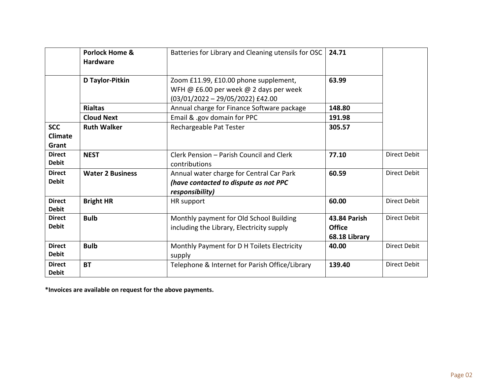|                                       | <b>Porlock Home &amp;</b><br><b>Hardware</b> | Batteries for Library and Cleaning utensils for OSC                                                                   | 24.71                                                 |                     |
|---------------------------------------|----------------------------------------------|-----------------------------------------------------------------------------------------------------------------------|-------------------------------------------------------|---------------------|
|                                       | D Taylor-Pitkin                              | Zoom £11.99, £10.00 phone supplement,<br>WFH @ £6.00 per week @ 2 days per week<br>$(03/01/2022 - 29/05/2022)$ £42.00 | 63.99                                                 |                     |
|                                       | <b>Rialtas</b>                               | Annual charge for Finance Software package                                                                            | 148.80                                                |                     |
|                                       | <b>Cloud Next</b>                            | Email & .gov domain for PPC                                                                                           | 191.98                                                |                     |
| <b>SCC</b><br><b>Climate</b><br>Grant | <b>Ruth Walker</b>                           | Rechargeable Pat Tester                                                                                               | 305.57                                                |                     |
| <b>Direct</b><br><b>Debit</b>         | <b>NEST</b>                                  | Clerk Pension - Parish Council and Clerk<br>contributions                                                             | 77.10                                                 | <b>Direct Debit</b> |
| <b>Direct</b><br><b>Debit</b>         | <b>Water 2 Business</b>                      | Annual water charge for Central Car Park<br>(have contacted to dispute as not PPC<br>responsibility)                  | 60.59                                                 | <b>Direct Debit</b> |
| <b>Direct</b><br><b>Debit</b>         | <b>Bright HR</b>                             | HR support                                                                                                            | 60.00                                                 | <b>Direct Debit</b> |
| <b>Direct</b><br><b>Debit</b>         | <b>Bulb</b>                                  | Monthly payment for Old School Building<br>including the Library, Electricity supply                                  | <b>43.84 Parish</b><br><b>Office</b><br>68.18 Library | Direct Debit        |
| <b>Direct</b><br><b>Debit</b>         | <b>Bulb</b>                                  | Monthly Payment for D H Toilets Electricity<br>supply                                                                 | 40.00                                                 | <b>Direct Debit</b> |
| <b>Direct</b><br><b>Debit</b>         | <b>BT</b>                                    | Telephone & Internet for Parish Office/Library                                                                        | 139.40                                                | <b>Direct Debit</b> |

**\*Invoices are available on request for the above payments.**